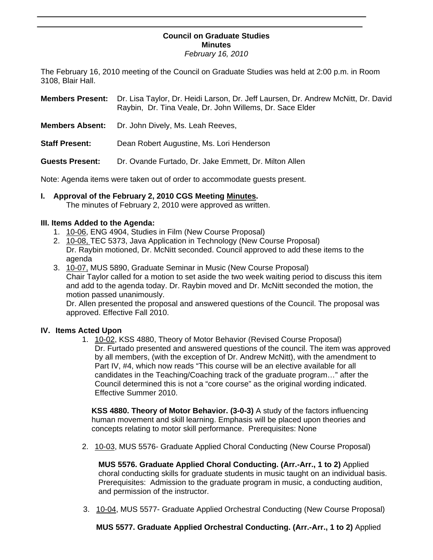## **Council on Graduate Studies Minutes**

*February 16, 2010* 

The February 16, 2010 meeting of the Council on Graduate Studies was held at 2:00 p.m. in Room 3108, Blair Hall.

**Members Present:** Dr. Lisa Taylor, Dr. Heidi Larson, Dr. Jeff Laursen, Dr. Andrew McNitt, Dr. David Raybin, Dr. Tina Veale, Dr. John Willems, Dr. Sace Elder

- **Members Absent:** Dr. John Dively, Ms. Leah Reeves,
- **Staff Present:** Dean Robert Augustine, Ms. Lori Henderson

**Guests Present:** Dr. Ovande Furtado, Dr. Jake Emmett, Dr. Milton Allen

Note: Agenda items were taken out of order to accommodate guests present.

**I. Approval of the February 2, 2010 CGS Meeting Minutes.**  The minutes of February 2, 2010 were appro[ved as written](http://www.eiu.edu/~eiucgs/currentminutes/Minutes2-2-10.pdf).

#### **III. Items Added to the Agenda:**

Ī

- 1. [10-06, E](http://www.eiu.edu/~eiucgs/currentagendaitems/agenda10-06.pdf)NG 4904, Studies in Film (New Course Proposal)
- 2. [10-08, TE](http://www.eiu.edu/~eiucgs/currentagendaitems/agenda10-08.pdf)C 5373, Java Application in Technology (New Course Proposal) Dr. Raybin motioned, Dr. McNitt seconded. Council approved to add these items to the agenda
- 3. [10-07,](http://www.eiu.edu/~eiucgs/currentagendaitems/agenda10-07.pdf) MUS 5890, Graduate Seminar in Music (New Course Proposal) Chair Taylor called for a motion to set aside the two week waiting period to discuss this item and add to the agenda today. Dr. Raybin moved and Dr. McNitt seconded the motion, the motion passed unanimously.

Dr. Allen presented the proposal and answered questions of the Council. The proposal was approved. Effective Fall 2010.

### **IV. Items Acted Upon**

1. [10-02, K](http://www.eiu.edu/~eiucgs/currentagendaitems/agenda10-02.pdf)SS 4880, Theory of Motor Behavior (Revised Course Proposal) Dr. Furtado presented and answered questions of the council. The item was approved by all members, (with the exception of Dr. Andrew McNitt), with the amendment to Part IV, #4, which now reads "This course will be an elective available for all candidates in the Teaching/Coaching track of the graduate program…" after the Council determined this is not a "core course" as the original wording indicated. Effective Summer 2010.

**KSS 4880. Theory of Motor Behavior. (3-0-3)** A study of the factors influencing human movement and skill learning. Emphasis will be placed upon theories and concepts relating to motor skill performance. Prerequisites: None

2. [10-03, M](http://www.eiu.edu/~eiucgs/currentagendaitems/agenda10-03.pdf)US 5576- Graduate Applied Choral Conducting (New Course Proposal)

 **MUS 5576. Graduate Applied Choral Conducting. (Arr.-Arr., 1 to 2)** Applied choral conducting skills for graduate students in music taught on an individual basis. Prerequisites: Admission to the graduate program in music, a conducting audition, and permission of the instructor.

3. [10-04, MU](http://www.eiu.edu/~eiucgs/currentagendaitems/agenda10-04.pdf)S 5577- Graduate Applied Orchestral Conducting (New Course Proposal)

**MUS 5577. Graduate Applied Orchestral Conducting. (Arr.-Arr., 1 to 2)** Applied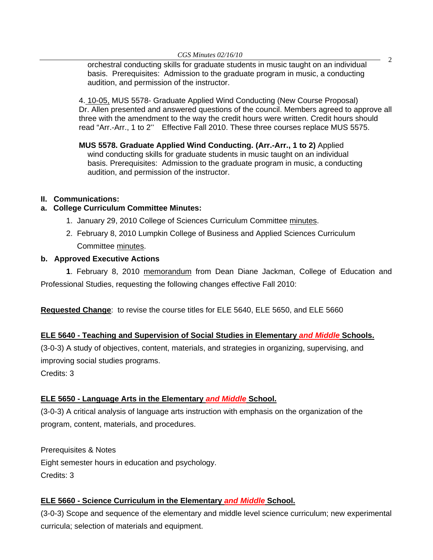*CGS Minutes 02/16/10* <sup>2</sup>orchestral conducting skills for graduate students in music taught on an individual basis. Prerequisites: Admission to the graduate program in music, a conducting audition, and permission of the instructor.

4[. 10-05, M](http://www.eiu.edu/~eiucgs/currentagendaitems/agenda10-05.pdf)US 5578- Graduate Applied Wind Conducting (New Course Proposal) Dr. Allen presented and answered questions of the council. Members agreed to approve all three with the amendment to the way the credit hours were written. Credit hours should read "Arr.-Arr., 1 to 2" Effective Fall 2010. These three courses replace MUS 5575.

**MUS 5578. Graduate Applied Wind Conducting. (Arr.-Arr., 1 to 2)** Applied wind conducting skills for graduate students in music taught on an individual basis. Prerequisites: Admission to the graduate program in music, a conducting audition, and permission of the instructor.

## **II. Communications:**

### **a. College Curriculum Committee Minutes:**

- 1. January 29, 2010 College of Sciences Curriculum Committee minutes.
- 2. February 8, 2010 Lumpkin College of Business and Applied Sciences Curriculum Committe[e minutes.](http://www.eiu.edu/~eiucgs/currentagendaitems/LCBASMin2-8-10.pdf)

### **b. Approved Executive Actions**

**1**. February 8, 201[0 memorandum fr](http://www.eiu.edu/~eiucgs/currentagendaitems/CEPS-exec-act-2-8-10.pdf)om Dean Diane Jackman, College of Education and Professional Studies, requesting the following changes effective Fall 2010:

**Requested Change**: to revise the course titles for ELE 5640, ELE 5650, and ELE 5660

## **ELE 5640 - Teaching and Supervision of Social Studies in Elementary** *and Middle* **Schools.**

(3-0-3) A study of objectives, content, materials, and strategies in organizing, supervising, and improving social studies programs.

Credits: 3

## **ELE 5650 - Language Arts in the Elementary** *and Middle* **School.**

(3-0-3) A critical analysis of language arts instruction with emphasis on the organization of the program, content, materials, and procedures.

Prerequisites & Notes Eight semester hours in education and psychology. Credits: 3

## **ELE 5660 - Science Curriculum in the Elementary** *and Middle* **School.**

(3-0-3) Scope and sequence of the elementary and middle level science curriculum; new experimental curricula; selection of materials and equipment.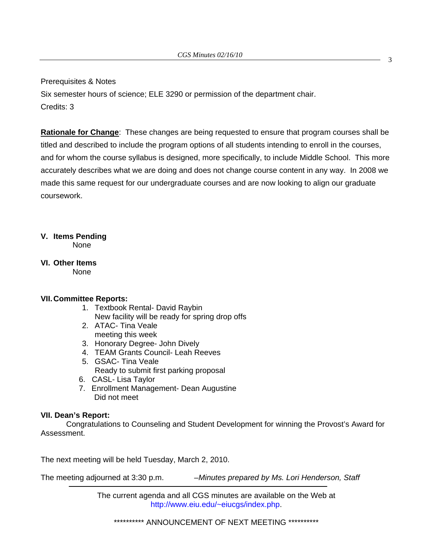Prerequisites & Notes

Six semester hours of science; ELE 3290 or permission of the department chair. Credits: 3

**Rationale for Change**: These changes are being requested to ensure that program courses shall be titled and described to include the program options of all students intending to enroll in the courses, and for whom the course syllabus is designed, more specifically, to include Middle School. This more accurately describes what we are doing and does not change course content in any way. In 2008 we made this same request for our undergraduate courses and are now looking to align our graduate coursework.

## **V. Items Pending**

None

**VI. Other Items**  None

### **VII. Committee Reports:**

- 1. Textbook Rental- David Raybin New facility will be ready for spring drop offs
- 2. ATAC- Tina Veale meeting this week
- 3. Honorary Degree- John Dively
- 4. TEAM Grants Council- Leah Reeves
- 5. GSAC- Tina Veale Ready to submit first parking proposal
- 6. CASL- Lisa Taylor
- 7. Enrollment Management- Dean Augustine Did not meet

### **VII. Dean's Report:**

 Congratulations to Counseling and Student Development for winning the Provost's Award for Assessment.

The next meeting will be held Tuesday, March 2, 2010.

The meeting adjourned at 3:30 p.m. *–Minutes prepared by Ms. Lori Henderson, Staff* 

The current agenda and all CGS minutes are available on the Web at http://www.eiu.edu/~eiucgs/index.php.

\*\*\*\*\*\*\*\*\*\*\* ANNOUNCEMENT OF NEXT MEETING \*\*\*\*\*\*\*\*\*\*\*